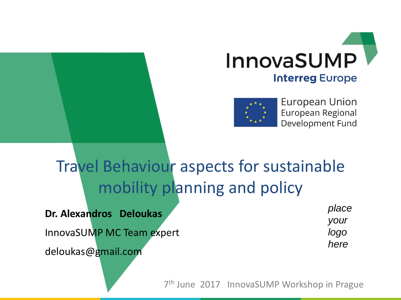



European Union European Regional Development Fund

### Travel Behaviour aspects for sustainable mobility planning and policy

**Dr. Alexandros Deloukas**

InnovaSUMP MC Team expert

deloukas@gmail.com

*place your logo here*

7 th June 2017 InnovaSUMP Workshop in Prague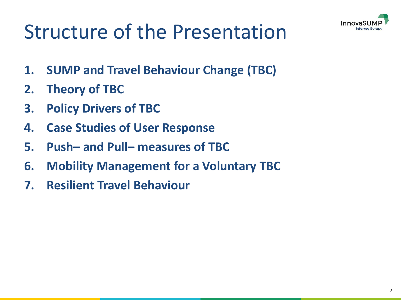

# Structure of the Presentation

- **1. SUMP and Travel Behaviour Change (TBC)**
- **2. Theory of TBC**
- **3. Policy Drivers of TBC**
- **4. Case Studies of User Response**
- **5. Push– and Pull– measures of TBC**
- **6. Mobility Management for a Voluntary TBC**
- **7. Resilient Travel Behaviour**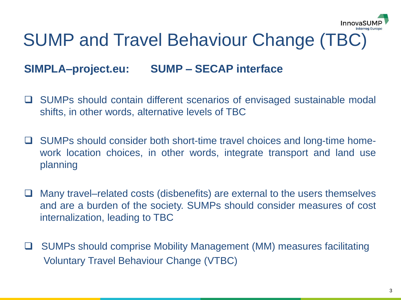

### SUMP and Travel Behaviour Change (TBC)

### **SIMPLA–project.eu: SUMP – SECAP interface**

- □ SUMPs should contain different scenarios of envisaged sustainable modal shifts, in other words, alternative levels of TBC
- □ SUMPs should consider both short-time travel choices and long-time homework location choices, in other words, integrate transport and land use planning
- Many travel–related costs (disbenefits) are external to the users themselves and are a burden of the society. SUMPs should consider measures of cost internalization, leading to TBC
- SUMPs should comprise Mobility Management (MM) measures facilitating Voluntary Travel Behaviour Change (VTBC)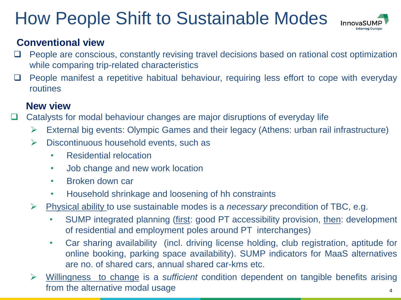### How People Shift to Sustainable Modes



#### **Conventional view**

- $\Box$  People are conscious, constantly revising travel decisions based on rational cost optimization while comparing trip-related characteristics
- $\Box$  People manifest a repetitive habitual behaviour, requiring less effort to cope with everyday routines

### **New view**

- □ Catalysts for modal behaviour changes are major disruptions of everyday life
	- ➢ External big events: Olympic Games and their legacy (Athens: urban rail infrastructure)
	- $\triangleright$  Discontinuous household events, such as
		- Residential relocation
		- Job change and new work location
		- Broken down car
		- Household shrinkage and loosening of hh constraints
	- ➢ Physical ability to use sustainable modes is a *necessary* precondition of TBC, e.g.
		- SUMP integrated planning (first: good PT accessibility provision, then: development of residential and employment poles around PT interchanges)
		- Car sharing availability (incl. driving license holding, club registration, aptitude for online booking, parking space availability). SUMP indicators for MaaS alternatives are no. of shared cars, annual shared car-kms etc.
	- 4 ➢ Willingness to change is a *sufficient* condition dependent on tangible benefits arising from the alternative modal usage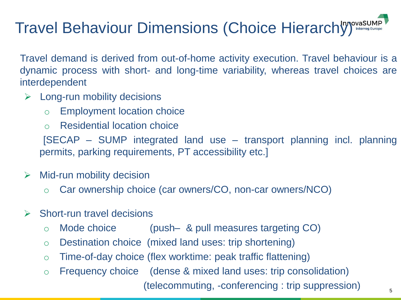### Travel Behaviour Dimensions (Choice Hierarchy) Interreg EUrope

Travel demand is derived from out-of-home activity execution. Travel behaviour is a dynamic process with short- and long-time variability, whereas travel choices are interdependent

- $\triangleright$  Long-run mobility decisions
	- o Employment location choice
	- o Residential location choice

[SECAP – SUMP integrated land use – transport planning incl. planning permits, parking requirements, PT accessibility etc.]

- $\triangleright$  Mid-run mobility decision
	- o Car ownership choice (car owners/CO, non-car owners/NCO)
- $\triangleright$  Short-run travel decisions
	- o Mode choice (push– & pull measures targeting CO)
	- o Destination choice (mixed land uses: trip shortening)
	- o Time-of-day choice (flex worktime: peak traffic flattening)
	- o Frequency choice (dense & mixed land uses: trip consolidation) (telecommuting, -conferencing : trip suppression)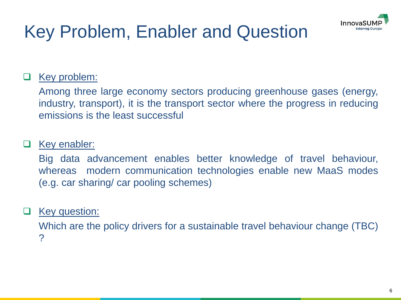

## Key Problem, Enabler and Question

### Key problem:

Among three large economy sectors producing greenhouse gases (energy, industry, transport), it is the transport sector where the progress in reducing emissions is the least successful

#### Key enabler:

Big data advancement enables better knowledge of travel behaviour, whereas modern communication technologies enable new MaaS modes (e.g. car sharing/ car pooling schemes)

#### **Key question:**

Which are the policy drivers for a sustainable travel behaviour change (TBC) ?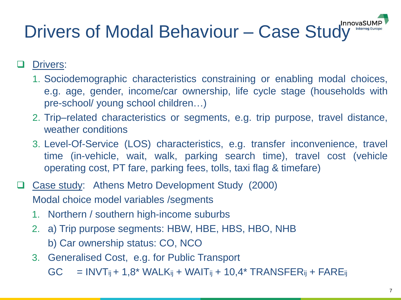# Drivers of Modal Behaviour - Case Study InnovasL

Drivers:

- 1. Sociodemographic characteristics constraining or enabling modal choices, e.g. age, gender, income/car ownership, life cycle stage (households with pre-school/ young school children…)
- 2. Trip–related characteristics or segments, e.g. trip purpose, travel distance, weather conditions
- 3. Level-Of-Service (LOS) characteristics, e.g. transfer inconvenience, travel time (in-vehicle, wait, walk, parking search time), travel cost (vehicle operating cost, PT fare, parking fees, tolls, taxi flag & timefare)
- □ Case study: Athens Metro Development Study (2000) Modal choice model variables /segments
	- 1. Northern / southern high-income suburbs
	- 2. a) Trip purpose segments: HBW, HBE, HBS, HBO, NHB b) Car ownership status: CO, NCO
	- 3. Generalised Cost, e.g. for Public Transport

 $GC = INVT_{ii} + 1.8* WALK_{ii} + WAIT_{ii} + 10.4* TRANSFER_{ii} + FARE_{ii}$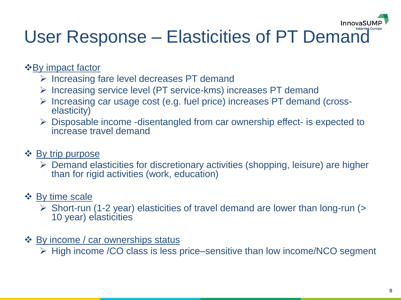### InnovaSL

## User Response – Elasticities of PT Demand

#### ❖By impact factor

- ➢ Increasing fare level decreases PT demand
- ➢ Increasing service level (PT service-kms) increases PT demand
- ➢ Increasing car usage cost (e.g. fuel price) increases PT demand (crosselasticity)
- ➢ Disposable income -disentangled from car ownership effect- is expected to increase travel demand

#### ❖ By trip purpose

➢ Demand elasticities for discretionary activities (shopping, leisure) are higher than for rigid activities (work, education)

### ❖ By time scale

- ➢ Short-run (1-2 year) elasticities of travel demand are lower than long-run (> 10 year) elasticities
- ❖ By income / car ownerships status
	- ➢ High income /CO class is less price–sensitive than low income/NCO segment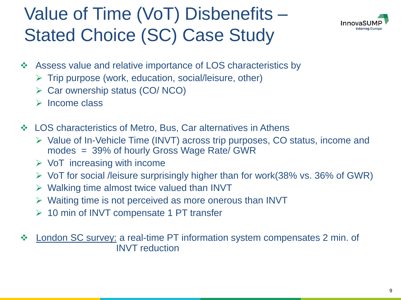## Value of Time (VoT) Disbenefits – Stated Choice (SC) Case Study



- Assess value and relative importance of LOS characteristics by
	- $\triangleright$  Trip purpose (work, education, social/leisure, other)
	- ➢ Car ownership status (CO/ NCO)
	- ➢ Income class
- ❖ LOS characteristics of Metro, Bus, Car alternatives in Athens
	- ➢ Value of In-Vehicle Time (INVT) across trip purposes, CO status, income and modes = 39% of hourly Gross Wage Rate/ GWR
	- $\triangleright$  VoT increasing with income
	- $\triangleright$  VoT for social /leisure surprisingly higher than for work(38% vs. 36% of GWR)
	- $\triangleright$  Walking time almost twice valued than INVT
	- ➢ Waiting time is not perceived as more onerous than INVT
	- ➢ 10 min of INVT compensate 1 PT transfer
- ❖ London SC survey: a real-time PT information system compensates 2 min. of INVT reduction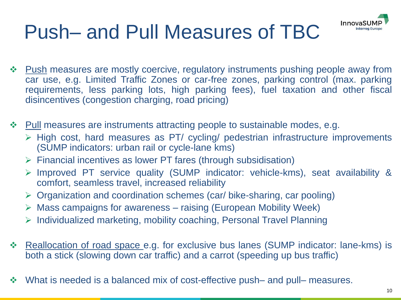

# Push– and Pull Measures of TBC

- ❖ Push measures are mostly coercive, regulatory instruments pushing people away from car use, e.g. Limited Traffic Zones or car-free zones, parking control (max. parking requirements, less parking lots, high parking fees), fuel taxation and other fiscal disincentives (congestion charging, road pricing)
- ❖ Pull measures are instruments attracting people to sustainable modes, e.g.
	- ➢ High cost, hard measures as PT/ cycling/ pedestrian infrastructure improvements (SUMP indicators: urban rail or cycle-lane kms)
	- ➢ Financial incentives as lower PT fares (through subsidisation)
	- ➢ Improved PT service quality (SUMP indicator: vehicle-kms), seat availability & comfort, seamless travel, increased reliability
	- ➢ Organization and coordination schemes (car/ bike-sharing, car pooling)
	- $\triangleright$  Mass campaigns for awareness raising (European Mobility Week)
	- ➢ Individualized marketing, mobility coaching, Personal Travel Planning
- ❖ Reallocation of road space e.g. for exclusive bus lanes (SUMP indicator: lane-kms) is both a stick (slowing down car traffic) and a carrot (speeding up bus traffic)
- ❖ What is needed is a balanced mix of cost-effective push– and pull– measures.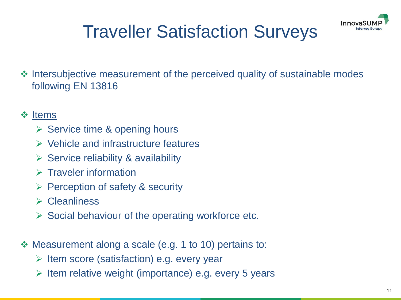

## Traveller Satisfaction Surveys

❖ Intersubjective measurement of the perceived quality of sustainable modes following EN 13816

#### ❖ Items

- ➢ Service time & opening hours
- ➢ Vehicle and infrastructure features
- $\triangleright$  Service reliability & availability
- ➢ Traveler information
- ➢ Perception of safety & security
- ➢ Cleanliness
- $\triangleright$  Social behaviour of the operating workforce etc.
- ❖ Measurement along a scale (e.g. 1 to 10) pertains to:
	- ➢ Item score (satisfaction) e.g. every year
	- ➢ Item relative weight (importance) e.g. every 5 years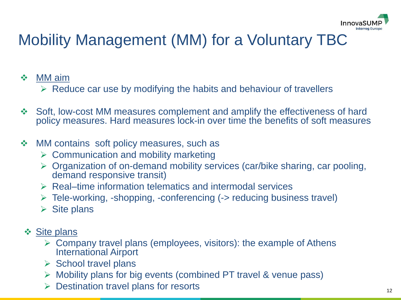

### Mobility Management (MM) for a Voluntary TBC

#### ❖ MM aim

- $\triangleright$  Reduce car use by modifying the habits and behaviour of travellers
- ❖ Soft, low-cost MM measures complement and amplify the effectiveness of hard policy measures. Hard measures lock-in over time the benefits of soft measures

#### ❖ MM contains soft policy measures, such as

- $\triangleright$  Communication and mobility marketing
- ➢ Organization of on-demand mobility services (car/bike sharing, car pooling, demand responsive transit)
- ➢ Real–time information telematics and intermodal services
- ➢ Tele-working, -shopping, -conferencing (-> reducing business travel)
- $\triangleright$  Site plans
- ❖ Site plans
	- $\triangleright$  Company travel plans (employees, visitors): the example of Athens International Airport
	- ➢ School travel plans
	- ➢ Mobility plans for big events (combined PT travel & venue pass)
	- Destination travel plans for resorts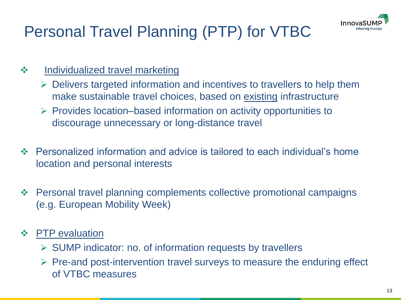

### Personal Travel Planning (PTP) for VTBC

- ❖ Individualized travel marketing
	- $\triangleright$  Delivers targeted information and incentives to travellers to help them make sustainable travel choices, based on existing infrastructure
	- ➢ Provides location–based information on activity opportunities to discourage unnecessary or long-distance travel
- ❖ Personalized information and advice is tailored to each individual's home location and personal interests
- ❖ Personal travel planning complements collective promotional campaigns (e.g. European Mobility Week)
- ❖ PTP evaluation
	- ➢ SUMP indicator: no. of information requests by travellers
	- $\triangleright$  Pre-and post-intervention travel surveys to measure the enduring effect of VTBC measures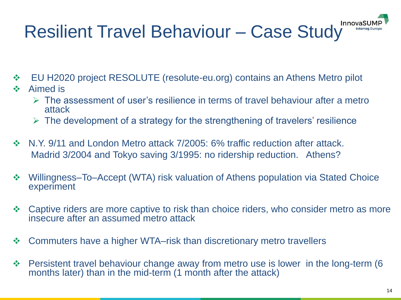# Resilient Travel Behaviour - Case Study Innovasu

- ❖ EU H2020 project RESOLUTE (resolute-eu.org) contains an Athens Metro pilot
- ❖ Aimed is
	- $\triangleright$  The assessment of user's resilience in terms of travel behaviour after a metro attack
	- $\triangleright$  The development of a strategy for the strengthening of travelers' resilience
- ❖ N.Y. 9/11 and London Metro attack 7/2005: 6% traffic reduction after attack. Madrid 3/2004 and Tokyo saving 3/1995: no ridership reduction. Athens?
- ❖ Willingness–To–Accept (WTA) risk valuation of Athens population via Stated Choice experiment
- ❖ Captive riders are more captive to risk than choice riders, who consider metro as more insecure after an assumed metro attack
- ❖ Commuters have a higher WTA–risk than discretionary metro travellers
- ❖ Persistent travel behaviour change away from metro use is lower in the long-term (6 months later) than in the mid-term (1 month after the attack)